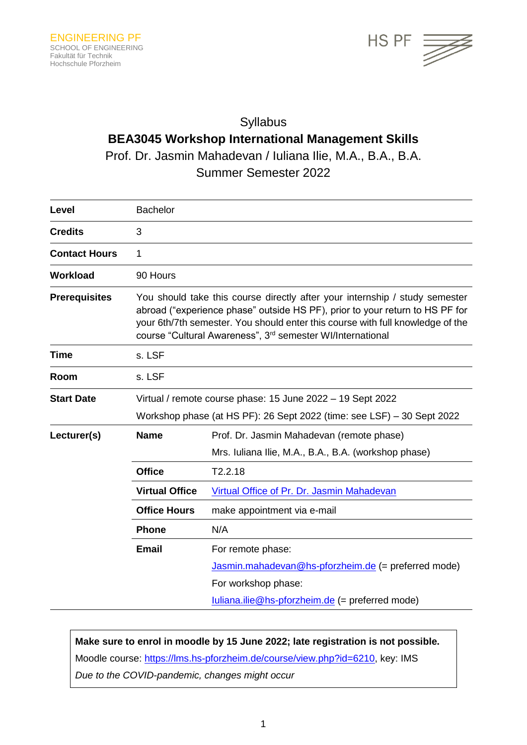

# Syllabus **BEA3045 Workshop International Management Skills**

Prof. Dr. Jasmin Mahadevan / Iuliana Ilie, M.A., B.A., B.A.

Summer Semester 2022

| Level                | <b>Bachelor</b>                                                                                                                                                                                                                                                                                                         |                                                      |  |
|----------------------|-------------------------------------------------------------------------------------------------------------------------------------------------------------------------------------------------------------------------------------------------------------------------------------------------------------------------|------------------------------------------------------|--|
| <b>Credits</b>       | 3                                                                                                                                                                                                                                                                                                                       |                                                      |  |
| <b>Contact Hours</b> | 1                                                                                                                                                                                                                                                                                                                       |                                                      |  |
| <b>Workload</b>      | 90 Hours                                                                                                                                                                                                                                                                                                                |                                                      |  |
| <b>Prerequisites</b> | You should take this course directly after your internship / study semester<br>abroad ("experience phase" outside HS PF), prior to your return to HS PF for<br>your 6th/7th semester. You should enter this course with full knowledge of the<br>course "Cultural Awareness", 3 <sup>rd</sup> semester WI/International |                                                      |  |
| <b>Time</b>          | s. LSF                                                                                                                                                                                                                                                                                                                  |                                                      |  |
| Room                 | s. LSF                                                                                                                                                                                                                                                                                                                  |                                                      |  |
| <b>Start Date</b>    | Virtual / remote course phase: 15 June 2022 - 19 Sept 2022<br>Workshop phase (at HS PF): 26 Sept 2022 (time: see LSF) - 30 Sept 2022                                                                                                                                                                                    |                                                      |  |
|                      |                                                                                                                                                                                                                                                                                                                         |                                                      |  |
| Lecturer(s)          | <b>Name</b>                                                                                                                                                                                                                                                                                                             | Prof. Dr. Jasmin Mahadevan (remote phase)            |  |
|                      |                                                                                                                                                                                                                                                                                                                         | Mrs. Iuliana Ilie, M.A., B.A., B.A. (workshop phase) |  |
|                      | <b>Office</b>                                                                                                                                                                                                                                                                                                           | T2.2.18                                              |  |
|                      | <b>Virtual Office</b>                                                                                                                                                                                                                                                                                                   | Virtual Office of Pr. Dr. Jasmin Mahadevan           |  |
|                      | <b>Office Hours</b>                                                                                                                                                                                                                                                                                                     | make appointment via e-mail                          |  |
|                      | <b>Phone</b>                                                                                                                                                                                                                                                                                                            | N/A                                                  |  |
|                      | <b>Email</b>                                                                                                                                                                                                                                                                                                            | For remote phase:                                    |  |
|                      |                                                                                                                                                                                                                                                                                                                         | Jasmin.mahadevan@hs-pforzheim.de (= preferred mode)  |  |
|                      |                                                                                                                                                                                                                                                                                                                         | For workshop phase:                                  |  |
|                      |                                                                                                                                                                                                                                                                                                                         | $luliana.ilie@hs-forzheim.de (= preferred mode)$     |  |

## **Make sure to enrol in moodle by 15 June 2022; late registration is not possible.**

Moodle course: [https://lms.hs-pforzheim.de/course/view.php?id=6210,](https://lms.hs-pforzheim.de/course/view.php?id=6210) key: IMS *Due to the COVID-pandemic, changes might occur*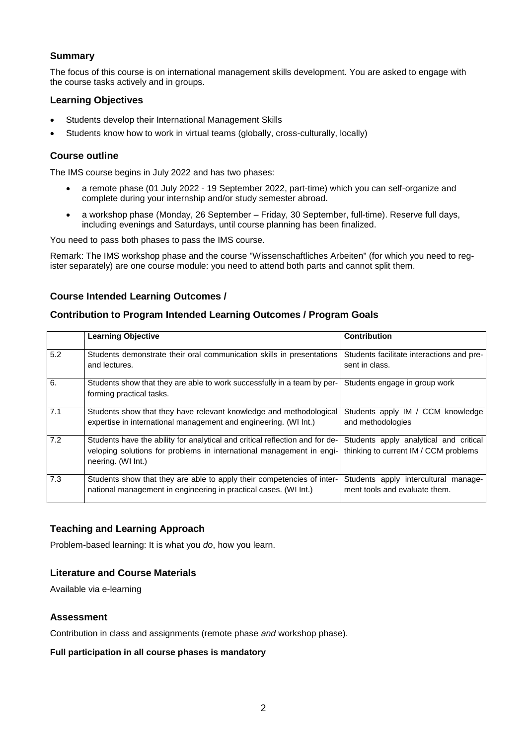### **Summary**

The focus of this course is on international management skills development. You are asked to engage with the course tasks actively and in groups.

## **Learning Objectives**

- Students develop their International Management Skills
- Students know how to work in virtual teams (globally, cross-culturally, locally)

#### **Course outline**

The IMS course begins in July 2022 and has two phases:

- a remote phase (01 July 2022 19 September 2022, part-time) which you can self-organize and complete during your internship and/or study semester abroad.
- a workshop phase (Monday, 26 September Friday, 30 September, full-time). Reserve full days, including evenings and Saturdays, until course planning has been finalized.

You need to pass both phases to pass the IMS course.

Remark: The IMS workshop phase and the course "Wissenschaftliches Arbeiten" (for which you need to register separately) are one course module: you need to attend both parts and cannot split them.

#### **Course Intended Learning Outcomes /**

#### **Contribution to Program Intended Learning Outcomes / Program Goals**

|     | <b>Learning Objective</b>                                                                                                                                                  | <b>Contribution</b>                                                             |
|-----|----------------------------------------------------------------------------------------------------------------------------------------------------------------------------|---------------------------------------------------------------------------------|
| 5.2 | Students demonstrate their oral communication skills in presentations<br>and lectures.                                                                                     | Students facilitate interactions and pre-<br>sent in class.                     |
| 6.  | Students show that they are able to work successfully in a team by per-<br>forming practical tasks.                                                                        | Students engage in group work                                                   |
| 7.1 | Students show that they have relevant knowledge and methodological<br>expertise in international management and engineering. (WI Int.)                                     | Students apply IM / CCM knowledge<br>and methodologies                          |
| 7.2 | Students have the ability for analytical and critical reflection and for de-<br>veloping solutions for problems in international management in engi-<br>neering. (WI Int.) | Students apply analytical and critical<br>thinking to current IM / CCM problems |
| 7.3 | Students show that they are able to apply their competencies of inter-<br>national management in engineering in practical cases. (WI Int.)                                 | Students apply intercultural manage-<br>ment tools and evaluate them.           |

#### **Teaching and Learning Approach**

Problem-based learning: It is what you *do*, how you learn.

#### **Literature and Course Materials**

Available via e-learning

#### **Assessment**

Contribution in class and assignments (remote phase *and* workshop phase).

#### **Full participation in all course phases is mandatory**